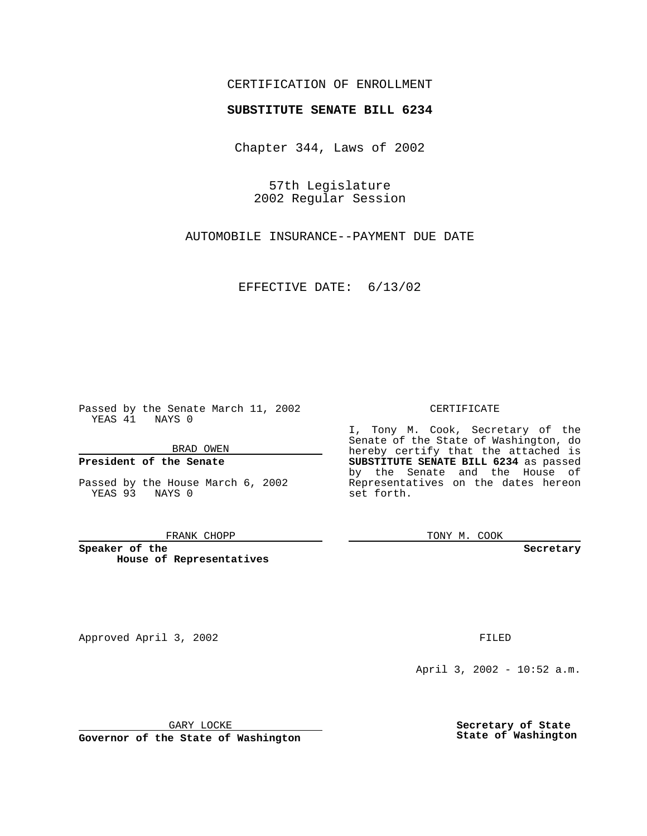## CERTIFICATION OF ENROLLMENT

# **SUBSTITUTE SENATE BILL 6234**

Chapter 344, Laws of 2002

57th Legislature 2002 Regular Session

AUTOMOBILE INSURANCE--PAYMENT DUE DATE

EFFECTIVE DATE: 6/13/02

Passed by the Senate March 11, 2002 YEAS 41 NAYS 0

BRAD OWEN

### **President of the Senate**

Passed by the House March 6, 2002 YEAS 93 NAYS 0

#### FRANK CHOPP

**Speaker of the House of Representatives**

Approved April 3, 2002 **FILED** 

April 3, 2002 - 10:52 a.m.

GARY LOCKE

**Governor of the State of Washington**

**Secretary of State State of Washington**

CERTIFICATE

I, Tony M. Cook, Secretary of the Senate of the State of Washington, do hereby certify that the attached is **SUBSTITUTE SENATE BILL 6234** as passed by the Senate and the House of Representatives on the dates hereon set forth.

TONY M. COOK

**Secretary**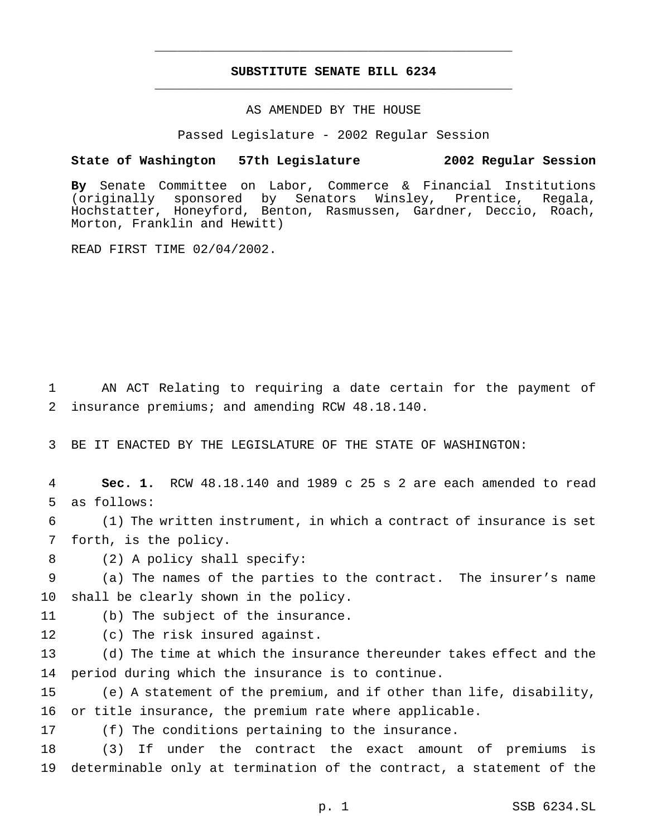## **SUBSTITUTE SENATE BILL 6234** \_\_\_\_\_\_\_\_\_\_\_\_\_\_\_\_\_\_\_\_\_\_\_\_\_\_\_\_\_\_\_\_\_\_\_\_\_\_\_\_\_\_\_\_\_\_\_

\_\_\_\_\_\_\_\_\_\_\_\_\_\_\_\_\_\_\_\_\_\_\_\_\_\_\_\_\_\_\_\_\_\_\_\_\_\_\_\_\_\_\_\_\_\_\_

### AS AMENDED BY THE HOUSE

Passed Legislature - 2002 Regular Session

#### **State of Washington 57th Legislature 2002 Regular Session**

**By** Senate Committee on Labor, Commerce & Financial Institutions (originally sponsored by Senators Winsley, Prentice, Regala, Hochstatter, Honeyford, Benton, Rasmussen, Gardner, Deccio, Roach, Morton, Franklin and Hewitt)

READ FIRST TIME 02/04/2002.

 AN ACT Relating to requiring a date certain for the payment of insurance premiums; and amending RCW 48.18.140.

BE IT ENACTED BY THE LEGISLATURE OF THE STATE OF WASHINGTON:

 **Sec. 1.** RCW 48.18.140 and 1989 c 25 s 2 are each amended to read as follows:

 (1) The written instrument, in which a contract of insurance is set forth, is the policy.

(2) A policy shall specify:

 (a) The names of the parties to the contract. The insurer's name shall be clearly shown in the policy.

(b) The subject of the insurance.

- 
- (c) The risk insured against.

 (d) The time at which the insurance thereunder takes effect and the period during which the insurance is to continue.

 (e) A statement of the premium, and if other than life, disability, or title insurance, the premium rate where applicable.

(f) The conditions pertaining to the insurance.

 (3) If under the contract the exact amount of premiums is determinable only at termination of the contract, a statement of the